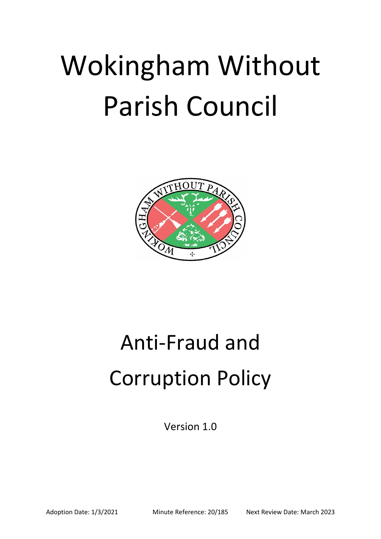# Wokingham Without Parish Council



# Anti-Fraud and Corruption Policy

Version 1.0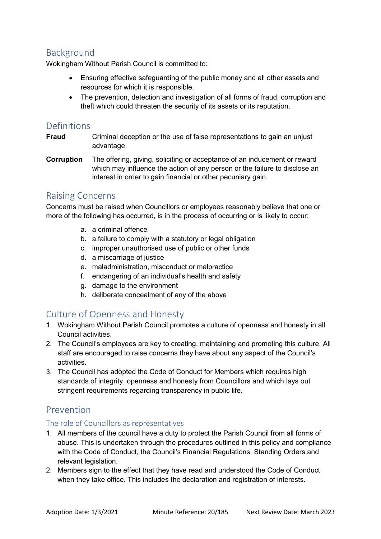### Background

Wokingham Without Parish Council is committed to:

- Ensuring effective safeguarding of the public money and all other assets and resources for which it is responsible.
- The prevention, detection and investigation of all forms of fraud, corruption and theft which could threaten the security of its assets or its reputation.

#### Definitions

- **Fraud** Criminal deception or the use of false representations to gain an unjust advantage.
- **Corruption** The offering, giving, soliciting or acceptance of an inducement or reward which may influence the action of any person or the failure to disclose an interest in order to gain financial or other pecuniary gain.

#### Raising Concerns

Concerns must be raised when Councillors or employees reasonably believe that one or more of the following has occurred, is in the process of occurring or is likely to occur:

- a. a criminal offence
- b. a failure to comply with a statutory or legal obligation
- c. improper unauthorised use of public or other funds
- d. a miscarriage of justice
- e. maladministration, misconduct or malpractice
- f. endangering of an individual's health and safety
- g. damage to the environment
- h. deliberate concealment of any of the above

#### Culture of Openness and Honesty

- 1. Wokingham Without Parish Council promotes a culture of openness and honesty in all Council activities.
- 2. The Council's employees are key to creating, maintaining and promoting this culture. All staff are encouraged to raise concerns they have about any aspect of the Council's activities.
- 3. The Council has adopted the Code of Conduct for Members which requires high standards of integrity, openness and honesty from Councillors and which lays out stringent requirements regarding transparency in public life.

#### Prevention

#### The role of Councillors as representatives

- 1. All members of the council have a duty to protect the Parish Council from all forms of abuse. This is undertaken through the procedures outlined in this policy and compliance with the Code of Conduct, the Council's Financial Regulations, Standing Orders and relevant legislation.
- 2. Members sign to the effect that they have read and understood the Code of Conduct when they take office. This includes the declaration and registration of interests.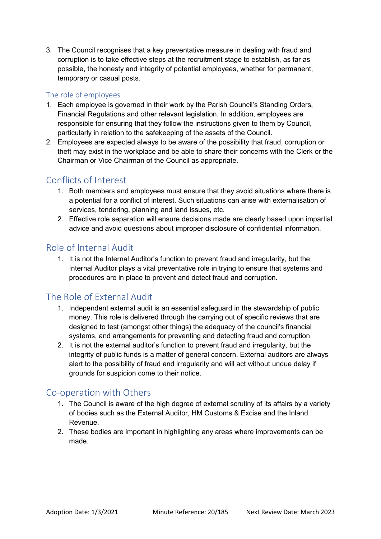3. The Council recognises that a key preventative measure in dealing with fraud and corruption is to take effective steps at the recruitment stage to establish, as far as possible, the honesty and integrity of potential employees, whether for permanent, temporary or casual posts.

#### The role of employees

- 1. Each employee is governed in their work by the Parish Council's Standing Orders, Financial Regulations and other relevant legislation. In addition, employees are responsible for ensuring that they follow the instructions given to them by Council, particularly in relation to the safekeeping of the assets of the Council.
- 2. Employees are expected always to be aware of the possibility that fraud, corruption or theft may exist in the workplace and be able to share their concerns with the Clerk or the Chairman or Vice Chairman of the Council as appropriate.

#### Conflicts of Interest

- 1. Both members and employees must ensure that they avoid situations where there is a potential for a conflict of interest. Such situations can arise with externalisation of services, tendering, planning and land issues, etc.
- 2. Effective role separation will ensure decisions made are clearly based upon impartial advice and avoid questions about improper disclosure of confidential information.

# Role of Internal Audit

1. It is not the Internal Auditor's function to prevent fraud and irregularity, but the Internal Auditor plays a vital preventative role in trying to ensure that systems and procedures are in place to prevent and detect fraud and corruption.

# The Role of External Audit

- 1. Independent external audit is an essential safeguard in the stewardship of public money. This role is delivered through the carrying out of specific reviews that are designed to test (amongst other things) the adequacy of the council's financial systems, and arrangements for preventing and detecting fraud and corruption.
- 2. It is not the external auditor's function to prevent fraud and irregularity, but the integrity of public funds is a matter of general concern. External auditors are always alert to the possibility of fraud and irregularity and will act without undue delay if grounds for suspicion come to their notice.

#### Co-operation with Others

- 1. The Council is aware of the high degree of external scrutiny of its affairs by a variety of bodies such as the External Auditor, HM Customs & Excise and the Inland Revenue.
- 2. These bodies are important in highlighting any areas where improvements can be made.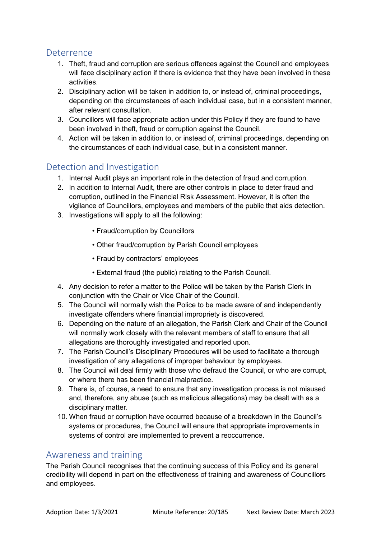#### Deterrence

- 1. Theft, fraud and corruption are serious offences against the Council and employees will face disciplinary action if there is evidence that they have been involved in these activities.
- 2. Disciplinary action will be taken in addition to, or instead of, criminal proceedings, depending on the circumstances of each individual case, but in a consistent manner, after relevant consultation.
- 3. Councillors will face appropriate action under this Policy if they are found to have been involved in theft, fraud or corruption against the Council.
- 4. Action will be taken in addition to, or instead of, criminal proceedings, depending on the circumstances of each individual case, but in a consistent manner.

#### Detection and Investigation

- 1. Internal Audit plays an important role in the detection of fraud and corruption.
- 2. In addition to Internal Audit, there are other controls in place to deter fraud and corruption, outlined in the Financial Risk Assessment. However, it is often the vigilance of Councillors, employees and members of the public that aids detection.
- 3. Investigations will apply to all the following:
	- Fraud/corruption by Councillors
	- Other fraud/corruption by Parish Council employees
	- Fraud by contractors' employees
	- External fraud (the public) relating to the Parish Council.
- 4. Any decision to refer a matter to the Police will be taken by the Parish Clerk in conjunction with the Chair or Vice Chair of the Council.
- 5. The Council will normally wish the Police to be made aware of and independently investigate offenders where financial impropriety is discovered.
- 6. Depending on the nature of an allegation, the Parish Clerk and Chair of the Council will normally work closely with the relevant members of staff to ensure that all allegations are thoroughly investigated and reported upon.
- 7. The Parish Council's Disciplinary Procedures will be used to facilitate a thorough investigation of any allegations of improper behaviour by employees.
- 8. The Council will deal firmly with those who defraud the Council, or who are corrupt, or where there has been financial malpractice.
- 9. There is, of course, a need to ensure that any investigation process is not misused and, therefore, any abuse (such as malicious allegations) may be dealt with as a disciplinary matter.
- 10. When fraud or corruption have occurred because of a breakdown in the Council's systems or procedures, the Council will ensure that appropriate improvements in systems of control are implemented to prevent a reoccurrence.

#### Awareness and training

The Parish Council recognises that the continuing success of this Policy and its general credibility will depend in part on the effectiveness of training and awareness of Councillors and employees.